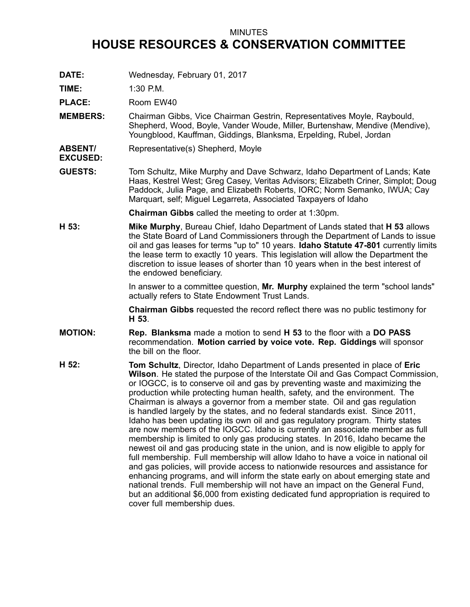## MINUTES

## **HOUSE RESOURCES & CONSERVATION COMMITTEE**

**DATE:** Wednesday, February 01, 2017

**TIME:** 1:30 P.M.

PLACE: Room EW40

- **MEMBERS:** Chairman Gibbs, Vice Chairman Gestrin, Representatives Moyle, Raybould, Shepherd, Wood, Boyle, Vander Woude, Miller, Burtenshaw, Mendive (Mendive), Youngblood, Kauffman, Giddings, Blanksma, Erpelding, Rubel, Jordan
- **ABSENT/ EXCUSED:** Representative(s) Shepherd, Moyle
- **GUESTS:** Tom Schultz, Mike Murphy and Dave Schwarz, Idaho Department of Lands; Kate Haas, Kestrel West; Greg Casey, Veritas Advisors; Elizabeth Criner, Simplot; Doug Paddock, Julia Page, and Elizabeth Roberts, IORC; Norm Semanko, IWUA; Cay Marquart, self; Miguel Legarreta, Associated Taxpayers of Idaho

**Chairman Gibbs** called the meeting to order at 1:30pm.

**H 53: Mike Murphy**, Bureau Chief, Idaho Department of Lands stated that **H 53** allows the State Board of Land Commissioners through the Department of Lands to issue oil and gas leases for terms "up to" 10 years. **Idaho Statute 47-801** currently limits the lease term to exactly 10 years. This legislation will allow the Department the discretion to issue leases of shorter than 10 years when in the best interest of the endowed beneficiary.

> In answer to <sup>a</sup> committee question, **Mr. Murphy** explained the term "school lands" actually refers to State Endowment Trust Lands.

**Chairman Gibbs** requested the record reflect there was no public testimony for **H 53**.

- **MOTION: Rep. Blanksma** made <sup>a</sup> motion to send **H 53** to the floor with <sup>a</sup> **DO PASS** recommendation. **Motion carried by voice vote. Rep. Giddings** will sponsor the bill on the floor.
- **H 52: Tom Schultz**, Director, Idaho Department of Lands presented in place of **Eric Wilson**. He stated the purpose of the Interstate Oil and Gas Compact Commission, or IOGCC, is to conserve oil and gas by preventing waste and maximizing the production while protecting human health, safety, and the environment. The Chairman is always <sup>a</sup> governor from <sup>a</sup> member state. Oil and gas regulation is handled largely by the states, and no federal standards exist. Since 2011, Idaho has been updating its own oil and gas regulatory program. Thirty states are now members of the IOGCC. Idaho is currently an associate member as full membership is limited to only gas producing states. In 2016, Idaho became the newest oil and gas producing state in the union, and is now eligible to apply for full membership. Full membership will allow Idaho to have <sup>a</sup> voice in national oil and gas policies, will provide access to nationwide resources and assistance for enhancing programs, and will inform the state early on about emerging state and national trends. Full membership will not have an impact on the General Fund, but an additional \$6,000 from existing dedicated fund appropriation is required to cover full membership dues.